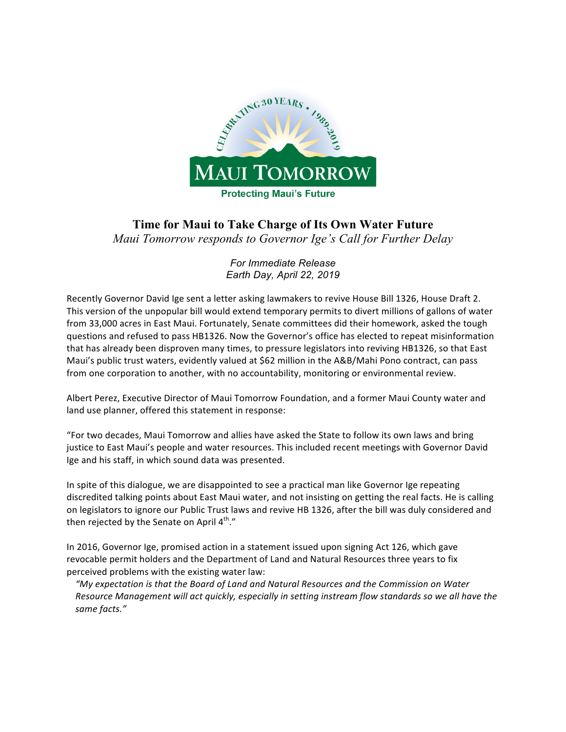

# **Time for Maui to Take Charge of Its Own Water Future**

*Maui Tomorrow responds to Governor Ige's Call for Further Delay*

*For Immediate Release Earth Day, April 22, 2019*

Recently Governor David Ige sent a letter asking lawmakers to revive House Bill 1326, House Draft 2. This version of the unpopular bill would extend temporary permits to divert millions of gallons of water from 33,000 acres in East Maui. Fortunately, Senate committees did their homework, asked the tough questions and refused to pass HB1326. Now the Governor's office has elected to repeat misinformation that has already been disproven many times, to pressure legislators into reviving HB1326, so that East Maui's public trust waters, evidently valued at \$62 million in the A&B/Mahi Pono contract, can pass from one corporation to another, with no accountability, monitoring or environmental review.

Albert Perez, Executive Director of Maui Tomorrow Foundation, and a former Maui County water and land use planner, offered this statement in response:

"For two decades, Maui Tomorrow and allies have asked the State to follow its own laws and bring justice to East Maui's people and water resources. This included recent meetings with Governor David Ige and his staff, in which sound data was presented.

In spite of this dialogue, we are disappointed to see a practical man like Governor Ige repeating discredited talking points about East Maui water, and not insisting on getting the real facts. He is calling on legislators to ignore our Public Trust laws and revive HB 1326, after the bill was duly considered and then rejected by the Senate on April  $4^{\text{th}}$ ."

In 2016, Governor Ige, promised action in a statement issued upon signing Act 126, which gave revocable permit holders and the Department of Land and Natural Resources three years to fix perceived problems with the existing water law:

"My expectation is that the Board of Land and Natural Resources and the Commission on Water Resource Management will act quickly, especially in setting instream flow standards so we all have the *same facts."*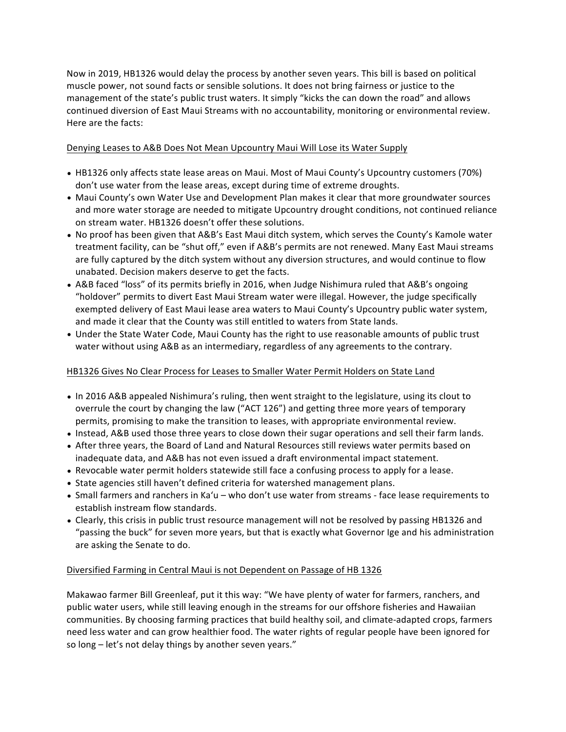Now in 2019, HB1326 would delay the process by another seven years. This bill is based on political muscle power, not sound facts or sensible solutions. It does not bring fairness or justice to the management of the state's public trust waters. It simply "kicks the can down the road" and allows continued diversion of East Maui Streams with no accountability, monitoring or environmental review. Here are the facts:

## Denying Leases to A&B Does Not Mean Upcountry Maui Will Lose its Water Supply

- HB1326 only affects state lease areas on Maui. Most of Maui County's Upcountry customers (70%) don't use water from the lease areas, except during time of extreme droughts.
- Maui County's own Water Use and Development Plan makes it clear that more groundwater sources and more water storage are needed to mitigate Upcountry drought conditions, not continued reliance on stream water. HB1326 doesn't offer these solutions.
- No proof has been given that A&B's East Maui ditch system, which serves the County's Kamole water treatment facility, can be "shut off," even if A&B's permits are not renewed. Many East Maui streams are fully captured by the ditch system without any diversion structures, and would continue to flow unabated. Decision makers deserve to get the facts.
- A&B faced "loss" of its permits briefly in 2016, when Judge Nishimura ruled that A&B's ongoing "holdover" permits to divert East Maui Stream water were illegal. However, the judge specifically exempted delivery of East Maui lease area waters to Maui County's Upcountry public water system, and made it clear that the County was still entitled to waters from State lands.
- Under the State Water Code, Maui County has the right to use reasonable amounts of public trust water without using A&B as an intermediary, regardless of any agreements to the contrary.

## HB1326 Gives No Clear Process for Leases to Smaller Water Permit Holders on State Land

- In 2016 A&B appealed Nishimura's ruling, then went straight to the legislature, using its clout to overrule the court by changing the law ("ACT 126") and getting three more years of temporary permits, promising to make the transition to leases, with appropriate environmental review.
- Instead, A&B used those three years to close down their sugar operations and sell their farm lands.
- After three years, the Board of Land and Natural Resources still reviews water permits based on inadequate data, and A&B has not even issued a draft environmental impact statement.
- Revocable water permit holders statewide still face a confusing process to apply for a lease.
- State agencies still haven't defined criteria for watershed management plans.
- Small farmers and ranchers in Ka'u who don't use water from streams face lease requirements to establish instream flow standards.
- Clearly, this crisis in public trust resource management will not be resolved by passing HB1326 and "passing the buck" for seven more years, but that is exactly what Governor Ige and his administration are asking the Senate to do.

### Diversified Farming in Central Maui is not Dependent on Passage of HB 1326

Makawao farmer Bill Greenleaf, put it this way: "We have plenty of water for farmers, ranchers, and public water users, while still leaving enough in the streams for our offshore fisheries and Hawaiian communities. By choosing farming practices that build healthy soil, and climate-adapted crops, farmers need less water and can grow healthier food. The water rights of regular people have been ignored for so long - let's not delay things by another seven years."